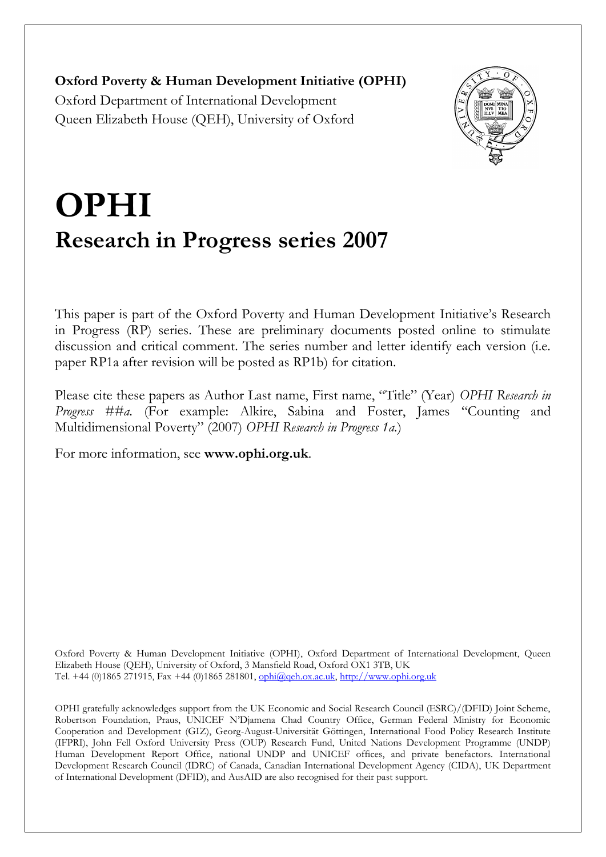**Oxford Poverty & Human Development Initiative (OPHI)** Oxford Department of International Development Queen Elizabeth House (QEH), University of Oxford



# **OPHI Research in Progress series 2007**

This paper is part of the Oxford Poverty and Human Development Initiative's Research in Progress (RP) series. These are preliminary documents posted online to stimulate discussion and critical comment. The series number and letter identify each version (i.e. paper RP1a after revision will be posted as RP1b) for citation.

Please cite these papers as Author Last name, First name, "Title" (Year) *OPHI Research in Progress ##a.* (For example: Alkire, Sabina and Foster, James "Counting and Multidimensional Poverty" (2007) *OPHI Research in Progress 1a.*)

For more information, see **www.ophi.org.uk**.

Oxford Poverty & Human Development Initiative (OPHI), Oxford Department of International Development, Queen Elizabeth House (QEH), University of Oxford, 3 Mansfield Road, Oxford OX1 3TB, UK Tel. +44 (0)1865 271915, Fax +44 (0)1865 281801, [ophi@qeh.ox.ac.uk,](mailto:ophi@qeh.ox.ac.uk) [http://www.ophi.org.uk](http://www.ophi.org.uk/)

OPHI gratefully acknowledges support from the UK Economic and Social Research Council (ESRC)/(DFID) Joint Scheme, Robertson Foundation, Praus, UNICEF N'Djamena Chad Country Office, German Federal Ministry for Economic Cooperation and Development (GIZ), Georg-August-Universität Göttingen, International Food Policy Research Institute (IFPRI), John Fell Oxford University Press (OUP) Research Fund, United Nations Development Programme (UNDP) Human Development Report Office, national UNDP and UNICEF offices, and private benefactors. International Development Research Council (IDRC) of Canada, Canadian International Development Agency (CIDA), UK Department of International Development (DFID), and AusAID are also recognised for their past support.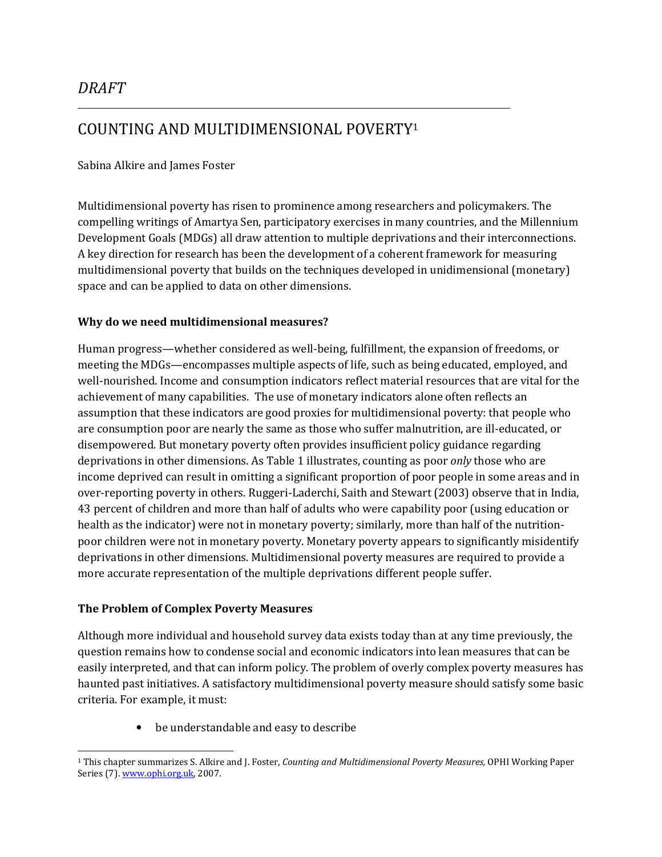# COUNTING AND MULTIDIMENSIONAL POVERTY<sup>1</sup>

#### Sabina Alkire and James Foster

Multidimensional poverty has risen to prominence among researchers and policymakers. The compelling writings of Amartya Sen, participatory exercises in many countries, and the Millennium Development Goals (MDGs) all draw attention to multiple deprivations and their interconnections. A key direction for research has been the development of a coherent framework for measuring multidimensional poverty that builds on the techniques developed in unidimensional (monetary) space and can be applied to data on other dimensions.

#### Why do we need multidimensional measures?

Human progress—whether considered as well-being, fulfillment, the expansion of freedoms, or meeting the MDGs—encompasses multiple aspects of life, such as being educated, employed, and well-nourished. Income and consumption indicators reflect material resources that are vital for the achievement of many capabilities. The use of monetary indicators alone often reflects an assumption that these indicators are good proxies for multidimensional poverty: that people who are consumption poor are nearly the same as those who suffer malnutrition, are ill-educated, or disempowered. But monetary poverty often provides insufficient policy guidance regarding deprivations in other dimensions. As Table 1 illustrates, counting as poor *only* those who are income deprived can result in omitting a significant proportion of poor people in some areas and in over-reporting poverty in others. Ruggeri-Laderchi, Saith and Stewart (2003) observe that in India, 43 percent of children and more than half of adults who were capability poor (using education or health as the indicator) were not in monetary poverty; similarly, more than half of the nutritionpoor children were not in monetary poverty. Monetary poverty appears to significantly misidentify deprivations in other dimensions. Multidimensional poverty measures are required to provide a more accurate representation of the multiple deprivations different people suffer.

#### The Problem of Complex Poverty Measures

Although more individual and household survey data exists today than at any time previously, the question remains how to condense social and economic indicators into lean measures that can be easily interpreted, and that can inform policy. The problem of overly complex poverty measures has haunted past initiatives. A satisfactory multidimensional poverty measure should satisfy some basic criteria. For example, it must:

> be understandable and easy to describe  $\bullet$

<sup>&</sup>lt;sup>1</sup> This chapter summarizes S. Alkire and J. Foster, Counting and Multidimensional Poverty Measures, OPHI Working Paper Series (7). www.ophi.org.uk, 2007.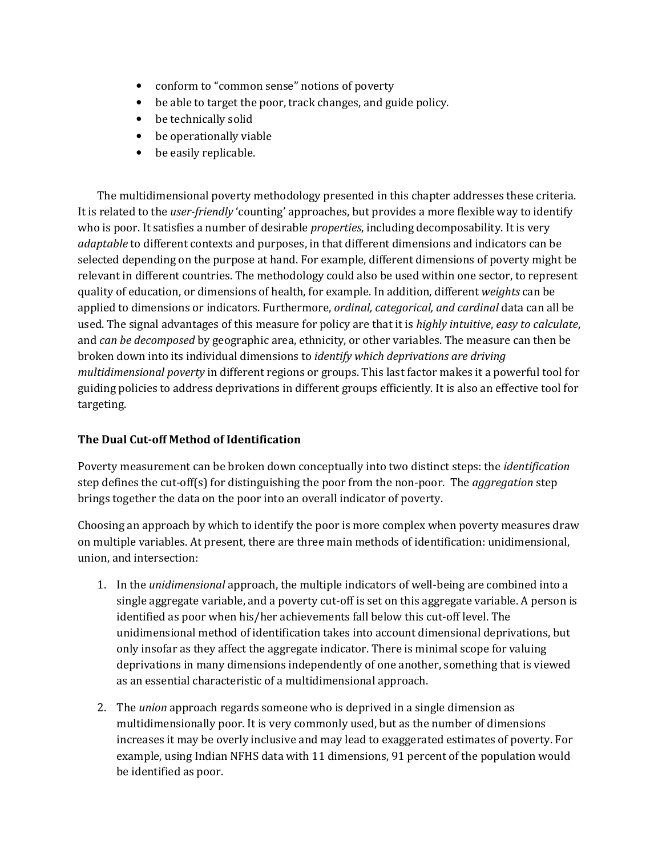- conform to "common sense" notions of poverty
- be able to target the poor, track changes, and guide policy.
- be technically solid
- be operationally viable
- be easily replicable.

The multidimensional poverty methodology presented in this chapter addresses these criteria. It is related to the *user-friendly* 'counting' approaches, but provides a more flexible way to identify who is poor. It satisfies a number of desirable *properties*, including decomposability. It is very *adaptable* to different contexts and purposes, in that different dimensions and indicators can be selected depending on the purpose at hand. For example, different dimensions of poverty might be relevant in different countries. The methodology could also be used within one sector, to represent quality of education, or dimensions of health, for example. In addition, different weights can be applied to dimensions or indicators. Furthermore, *ordinal*, *categorical*, and *cardinal* data can all be used. The signal advantages of this measure for policy are that it is highly intuitive, easy to calculate, and can be decomposed by geographic area, ethnicity, or other variables. The measure can then be broken down into its individual dimensions to *identify which deprivations are driving multidimensional poverty* in different regions or groups. This last factor makes it a powerful tool for guiding policies to address deprivations in different groups efficiently. It is also an effective tool for targeting.

## The Dual Cut-off Method of Identification

Poverty measurement can be broken down conceptually into two distinct steps: the *identification* step defines the cut-off(s) for distinguishing the poor from the non-poor. The *aggregation* step brings together the data on the poor into an overall indicator of poverty.

Choosing an approach by which to identify the poor is more complex when poverty measures draw on multiple variables. At present, there are three main methods of identification: unidimensional, union, and intersection:

- 1. In the *unidimensional* approach, the multiple indicators of well-being are combined into a single aggregate variable, and a poverty cut-off is set on this aggregate variable. A person is identified as poor when his/her achievements fall below this cut-off level. The unidimensional method of identification takes into account dimensional deprivations, but only insofar as they affect the aggregate indicator. There is minimal scope for valuing deprivations in many dimensions independently of one another, something that is viewed as an essential characteristic of a multidimensional approach.
- 2. The *union* approach regards someone who is deprived in a single dimension as multidimensionally poor. It is very commonly used, but as the number of dimensions increases it may be overly inclusive and may lead to exaggerated estimates of poverty. For example, using Indian NFHS data with 11 dimensions, 91 percent of the population would be identified as poor.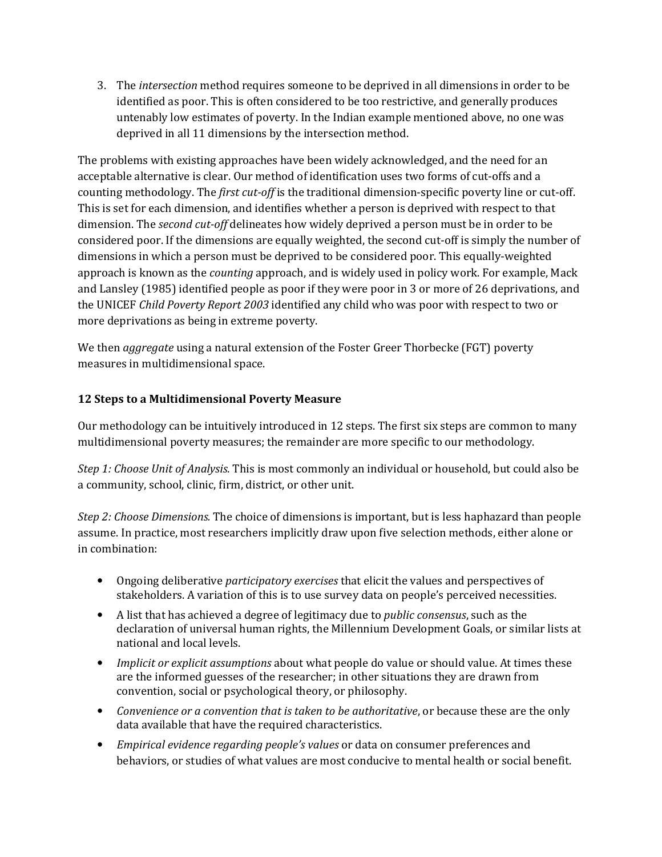3. The *intersection* method requires someone to be deprived in all dimensions in order to be identified as poor. This is often considered to be too restrictive, and generally produces untenably low estimates of poverty. In the Indian example mentioned above, no one was deprived in all 11 dimensions by the intersection method.

The problems with existing approaches have been widely acknowledged, and the need for an acceptable alternative is clear. Our method of identification uses two forms of cut-offs and a counting methodology. The *first cut-off* is the traditional dimension-specific poverty line or cut-off. This is set for each dimension, and identifies whether a person is deprived with respect to that dimension. The *second cut-off* delineates how widely deprived a person must be in order to be considered poor. If the dimensions are equally weighted, the second cut-off is simply the number of dimensions in which a person must be deprived to be considered poor. This equally-weighted approach is known as the *counting* approach, and is widely used in policy work. For example, Mack and Lansley (1985) identified people as poor if they were poor in 3 or more of 26 deprivations, and the UNICEF Child Poverty Report 2003 identified any child who was poor with respect to two or more deprivations as being in extreme poverty.

We then *aggregate* using a natural extension of the Foster Greer Thorbecke (FGT) poverty measures in multidimensional space.

#### 12 Steps to a Multidimensional Poverty Measure

Our methodology can be intuitively introduced in 12 steps. The first six steps are common to many multidimensional poverty measures; the remainder are more specific to our methodology.

Step 1: Choose Unit of Analysis. This is most commonly an individual or household, but could also be a community, school, clinic, firm, district, or other unit.

Step 2: Choose Dimensions. The choice of dimensions is important, but is less haphazard than people assume. In practice, most researchers implicitly draw upon five selection methods, either alone or in combination:

- Ongoing deliberative *participatory exercises* that elicit the values and perspectives of  $\bullet$ stakeholders. A variation of this is to use survey data on people's perceived necessities.
- A list that has achieved a degree of legitimacy due to *public consensus*, such as the declaration of universal human rights, the Millennium Development Goals, or similar lists at national and local levels.
- Implicit or explicit assumptions about what people do value or should value. At times these are the informed guesses of the researcher; in other situations they are drawn from convention, social or psychological theory, or philosophy.
- Convenience or a convention that is taken to be authoritative, or because these are the only data available that have the required characteristics.
- Empirical evidence regarding people's values or data on consumer preferences and behaviors, or studies of what values are most conducive to mental health or social benefit.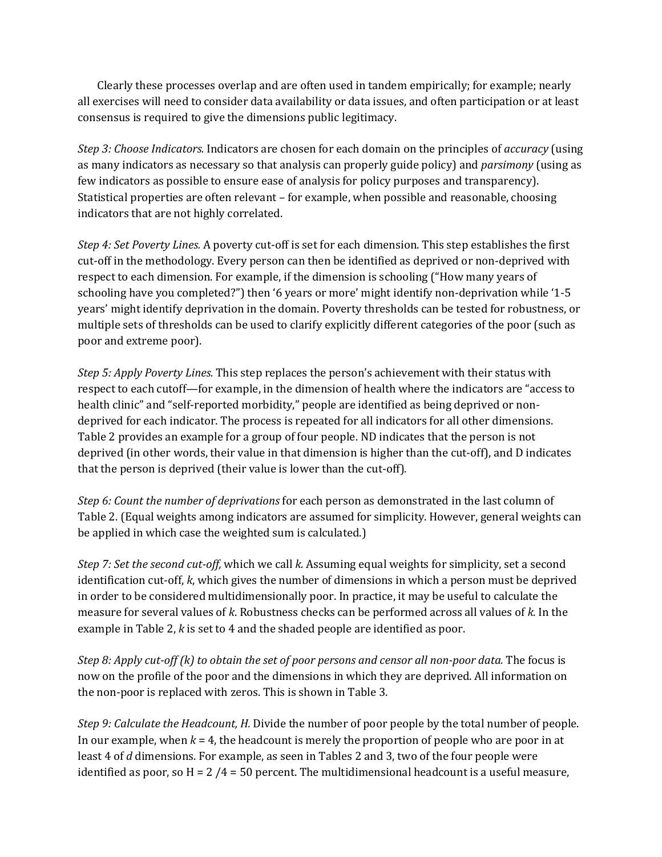Clearly these processes overlap and are often used in tandem empirically; for example; nearly all exercises will need to consider data availability or data issues, and often participation or at least consensus is required to give the dimensions public legitimacy.

Step 3: Choose Indicators. Indicators are chosen for each domain on the principles of accuracy (using as many indicators as necessary so that analysis can properly guide policy) and *parsimony* (using as few indicators as possible to ensure ease of analysis for policy purposes and transparency). Statistical properties are often relevant – for example, when possible and reasonable, choosing indicators that are not highly correlated.

Step 4: Set Poverty Lines. A poverty cut-off is set for each dimension. This step establishes the first cut-off in the methodology. Every person can then be identified as deprived or non-deprived with respect to each dimension. For example, if the dimension is schooling ("How many years of schooling have you completed?") then '6 years or more' might identify non-deprivation while '1-5 years' might identify deprivation in the domain. Poverty thresholds can be tested for robustness, or multiple sets of thresholds can be used to clarify explicitly different categories of the poor (such as poor and extreme poor).

*Step 5: Apply Poverty Lines.* This step replaces the person's achievement with their status with respect to each cutoff—for example, in the dimension of health where the indicators are "access to health clinic" and "self-reported morbidity," people are identified as being deprived or nondeprived for each indicator. The process is repeated for all indicators for all other dimensions. Table 2 provides an example for a group of four people. ND indicates that the person is not deprived (in other words, their value in that dimension is higher than the cut-off), and D indicates that the person is deprived (their value is lower than the cut-off).

Step 6: Count the number of deprivations for each person as demonstrated in the last column of Table 2. (Equal weights among indicators are assumed for simplicity. However, general weights can be applied in which case the weighted sum is calculated.)

Step 7: Set the second cut-off, which we call k. Assuming equal weights for simplicity, set a second identification cut-off,  $k$ , which gives the number of dimensions in which a person must be deprived in order to be considered multidimensionally poor. In practice, it may be useful to calculate the measure for several values of k. Robustness checks can be performed across all values of k. In the example in Table 2, k is set to 4 and the shaded people are identified as poor.

Step 8: Apply cut-off (k) to obtain the set of poor persons and censor all non-poor data. The focus is now on the profile of the poor and the dimensions in which they are deprived. All information on the non-poor is replaced with zeros. This is shown in Table 3.

Step 9: Calculate the Headcount, H. Divide the number of poor people by the total number of people. In our example, when  $k = 4$ , the headcount is merely the proportion of people who are poor in at least 4 of d dimensions. For example, as seen in Tables 2 and 3, two of the four people were identified as poor, so  $H = 2/4 = 50$  percent. The multidimensional headcount is a useful measure,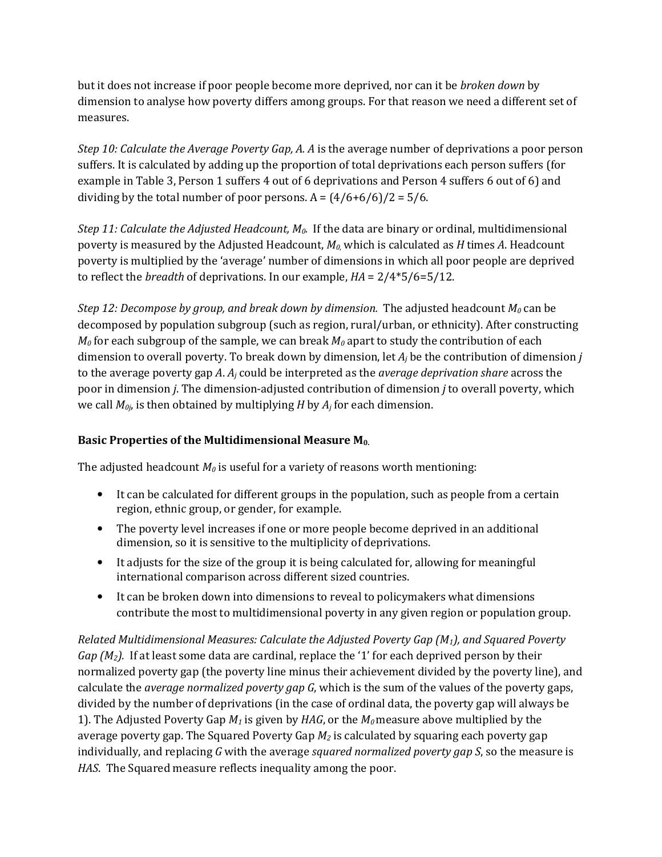but it does not increase if poor people become more deprived, nor can it be *broken down* by dimension to analyse how poverty differs among groups. For that reason we need a different set of measures.

Step 10: Calculate the Average Poverty Gap, A. A is the average number of deprivations a poor person suffers. It is calculated by adding up the proportion of total deprivations each person suffers (for example in Table 3, Person 1 suffers 4 out of 6 deprivations and Person 4 suffers 6 out of 6) and dividing by the total number of poor persons.  $A = (4/6+6/6)/2 = 5/6$ .

Step 11: Calculate the Adjusted Headcount,  $M_0$ . If the data are binary or ordinal, multidimensional poverty is measured by the Adjusted Headcount,  $M_0$  which is calculated as H times A. Headcount poverty is multiplied by the 'average' number of dimensions in which all poor people are deprived to reflect the *breadth* of deprivations. In our example,  $HA = 2/4*5/6=5/12$ .

Step 12: Decompose by group, and break down by dimension. The adjusted headcount  $M_0$  can be decomposed by population subgroup (such as region, rural/urban, or ethnicity). After constructing  $M_0$  for each subgroup of the sample, we can break  $M_0$  apart to study the contribution of each dimension to overall poverty. To break down by dimension, let  $A_i$  be the contribution of dimension *j* to the average poverty gap A.  $A_i$  could be interpreted as the *average deprivation share* across the poor in dimension *j*. The dimension-adjusted contribution of dimension *j* to overall poverty, which we call  $M_{0i}$ , is then obtained by multiplying H by  $A_i$  for each dimension.

## Basic Properties of the Multidimensional Measure M<sub>0.</sub>

The adjusted headcount  $M_0$  is useful for a variety of reasons worth mentioning:

- It can be calculated for different groups in the population, such as people from a certain region, ethnic group, or gender, for example.
- The poverty level increases if one or more people become deprived in an additional dimension, so it is sensitive to the multiplicity of deprivations.
- It adjusts for the size of the group it is being calculated for, allowing for meaningful international comparison across different sized countries.
- It can be broken down into dimensions to reveal to policymakers what dimensions contribute the most to multidimensional poverty in any given region or population group.

Related Multidimensional Measures: Calculate the Adjusted Poverty Gap  $(M_1)$ , and Squared Poverty  $Gap(M_2)$ . If at least some data are cardinal, replace the '1' for each deprived person by their normalized poverty gap (the poverty line minus their achievement divided by the poverty line), and calculate the average normalized poverty gap G, which is the sum of the values of the poverty gaps, divided by the number of deprivations (in the case of ordinal data, the poverty gap will always be 1). The Adjusted Poverty Gap  $M_1$  is given by HAG, or the  $M_0$  measure above multiplied by the average poverty gap. The Squared Poverty Gap  $M_2$  is calculated by squaring each poverty gap individually, and replacing  $G$  with the average *squared normalized poverty gap*  $S$ *,* so the measure is HAS. The Squared measure reflects inequality among the poor.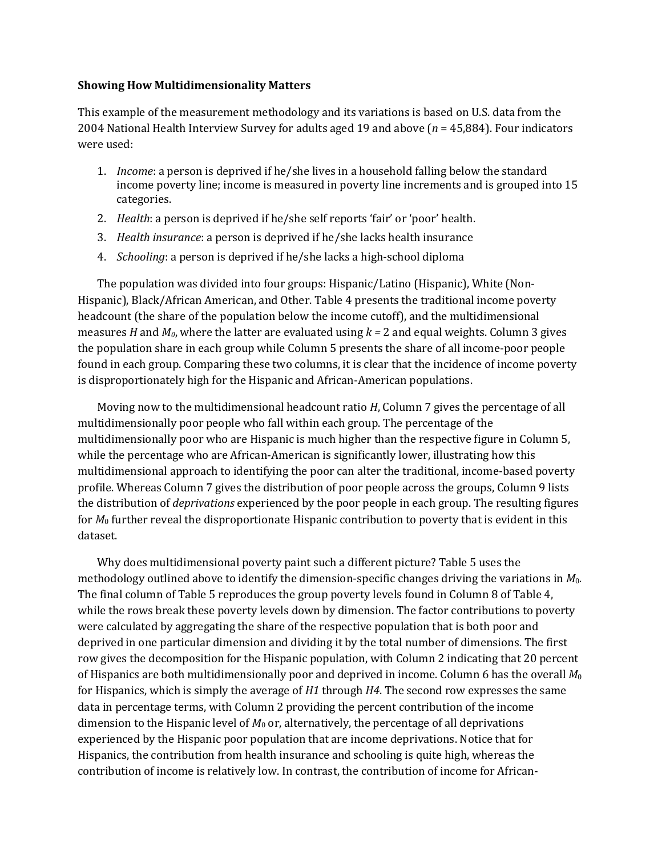#### **Showing How Multidimensionality Matters**

This example of the measurement methodology and its variations is based on U.S. data from the 2004 National Health Interview Survey for adults aged 19 and above  $(n = 45,884)$ . Four indicators were used:

- 1. *Income*: a person is deprived if he/she lives in a household falling below the standard income poverty line; income is measured in poverty line increments and is grouped into 15 categories.
- 2. Health: a person is deprived if he/she self reports 'fair' or 'poor' health.
- 3. Health insurance: a person is deprived if he/she lacks health insurance
- 4. Schooling: a person is deprived if he/she lacks a high-school diploma

The population was divided into four groups: Hispanic/Latino (Hispanic), White (Non-Hispanic), Black/African American, and Other. Table 4 presents the traditional income poverty headcount (the share of the population below the income cutoff), and the multidimensional measures H and  $M_0$ , where the latter are evaluated using  $k = 2$  and equal weights. Column 3 gives the population share in each group while Column 5 presents the share of all income-poor people found in each group. Comparing these two columns, it is clear that the incidence of income poverty is disproportionately high for the Hispanic and African-American populations.

Moving now to the multidimensional headcount ratio H, Column 7 gives the percentage of all multidimensionally poor people who fall within each group. The percentage of the multidimensionally poor who are Hispanic is much higher than the respective figure in Column 5, while the percentage who are African-American is significantly lower, illustrating how this multidimensional approach to identifying the poor can alter the traditional, income-based poverty profile. Whereas Column 7 gives the distribution of poor people across the groups, Column 9 lists the distribution of *deprivations* experienced by the poor people in each group. The resulting figures for  $M_0$  further reveal the disproportionate Hispanic contribution to poverty that is evident in this dataset.

Why does multidimensional poverty paint such a different picture? Table 5 uses the methodology outlined above to identify the dimension-specific changes driving the variations in  $M_0$ . The final column of Table 5 reproduces the group poverty levels found in Column 8 of Table 4, while the rows break these poverty levels down by dimension. The factor contributions to poverty were calculated by aggregating the share of the respective population that is both poor and deprived in one particular dimension and dividing it by the total number of dimensions. The first row gives the decomposition for the Hispanic population, with Column 2 indicating that 20 percent of Hispanics are both multidimensionally poor and deprived in income. Column 6 has the overall  $M_0$ for Hispanics, which is simply the average of  $H1$  through  $H4$ . The second row expresses the same data in percentage terms, with Column 2 providing the percent contribution of the income dimension to the Hispanic level of  $M_0$  or, alternatively, the percentage of all deprivations experienced by the Hispanic poor population that are income deprivations. Notice that for Hispanics, the contribution from health insurance and schooling is quite high, whereas the contribution of income is relatively low. In contrast, the contribution of income for African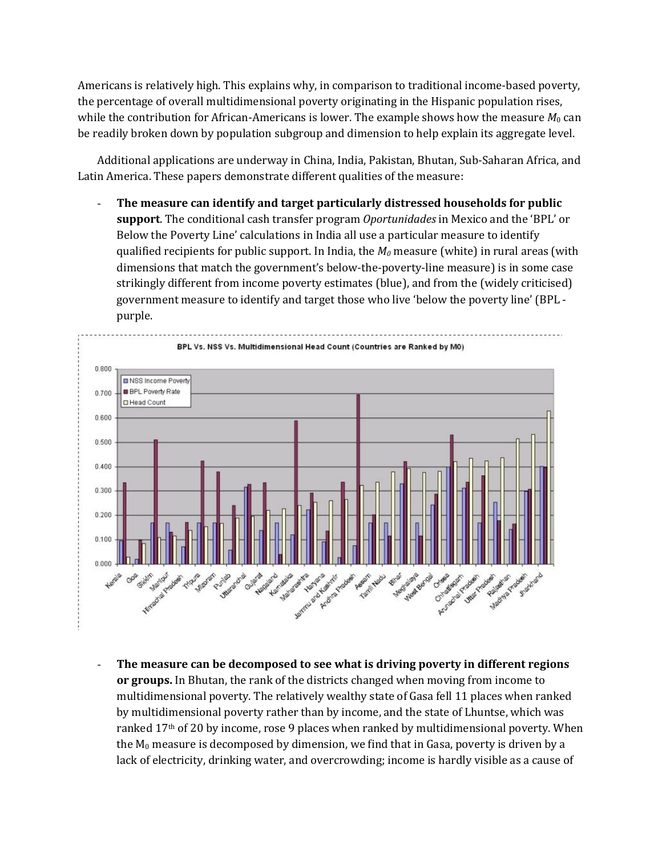Americans is relatively high. This explains why, in comparison to traditional income-based poverty, the percentage of overall multidimensional poverty originating in the Hispanic population rises, while the contribution for African-Americans is lower. The example shows how the measure  $M_0$  can be readily broken down by population subgroup and dimension to help explain its aggregate level.

Additional applications are underway in China, India, Pakistan, Bhutan, Sub-Saharan Africa, and Latin America. These papers demonstrate different qualities of the measure:

The measure can identify and target particularly distressed households for public support. The conditional cash transfer program Oportunidades in Mexico and the 'BPL' or Below the Poverty Line' calculations in India all use a particular measure to identify qualified recipients for public support. In India, the  $M_0$  measure (white) in rural areas (with dimensions that match the government's below-the-poverty-line measure) is in some case strikingly different from income poverty estimates (blue), and from the (widely criticised) government measure to identify and target those who live 'below the poverty line' (BPL purple.



The measure can be decomposed to see what is driving poverty in different regions or groups. In Bhutan, the rank of the districts changed when moving from income to multidimensional poverty. The relatively wealthy state of Gasa fell 11 places when ranked by multidimensional poverty rather than by income, and the state of Lhuntse, which was ranked  $17<sup>th</sup>$  of 20 by income, rose 9 places when ranked by multidimensional poverty. When the  $M_0$  measure is decomposed by dimension, we find that in Gasa, poverty is driven by a lack of electricity, drinking water, and overcrowding; income is hardly visible as a cause of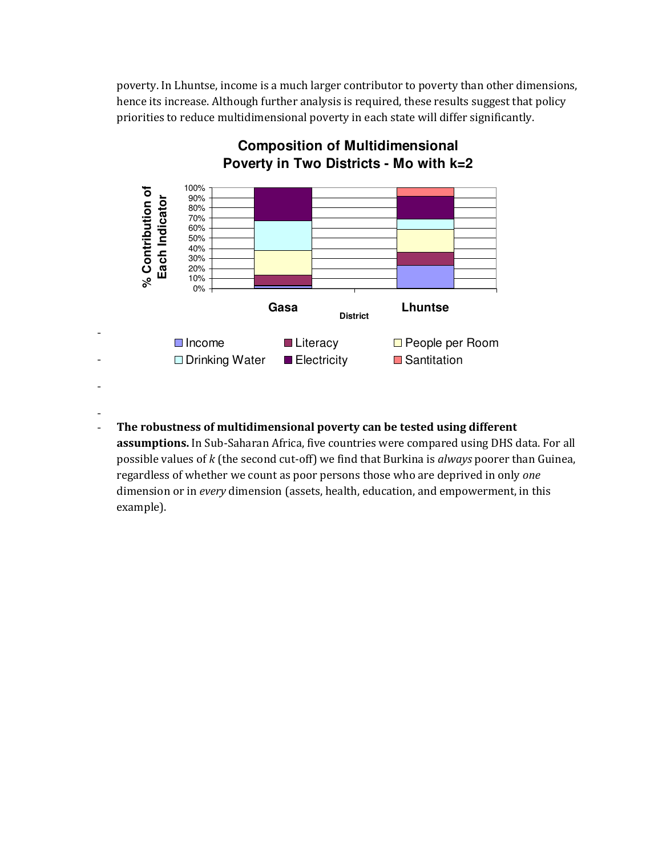poverty. In Lhuntse, income is a much larger contributor to poverty than other dimensions, hence its increase. Although further analysis is required, these results suggest that policy priorities to reduce multidimensional poverty in each state will differ significantly.



# **Composition of Multidimensional** Poverty in Two Districts - Mo with k=2

The robustness of multidimensional poverty can be tested using different  $\overline{a}$ 

assumptions. In Sub-Saharan Africa, five countries were compared using DHS data. For all possible values of k (the second cut-off) we find that Burkina is *always* poorer than Guinea, regardless of whether we count as poor persons those who are deprived in only one dimension or in every dimension (assets, health, education, and empowerment, in this example).